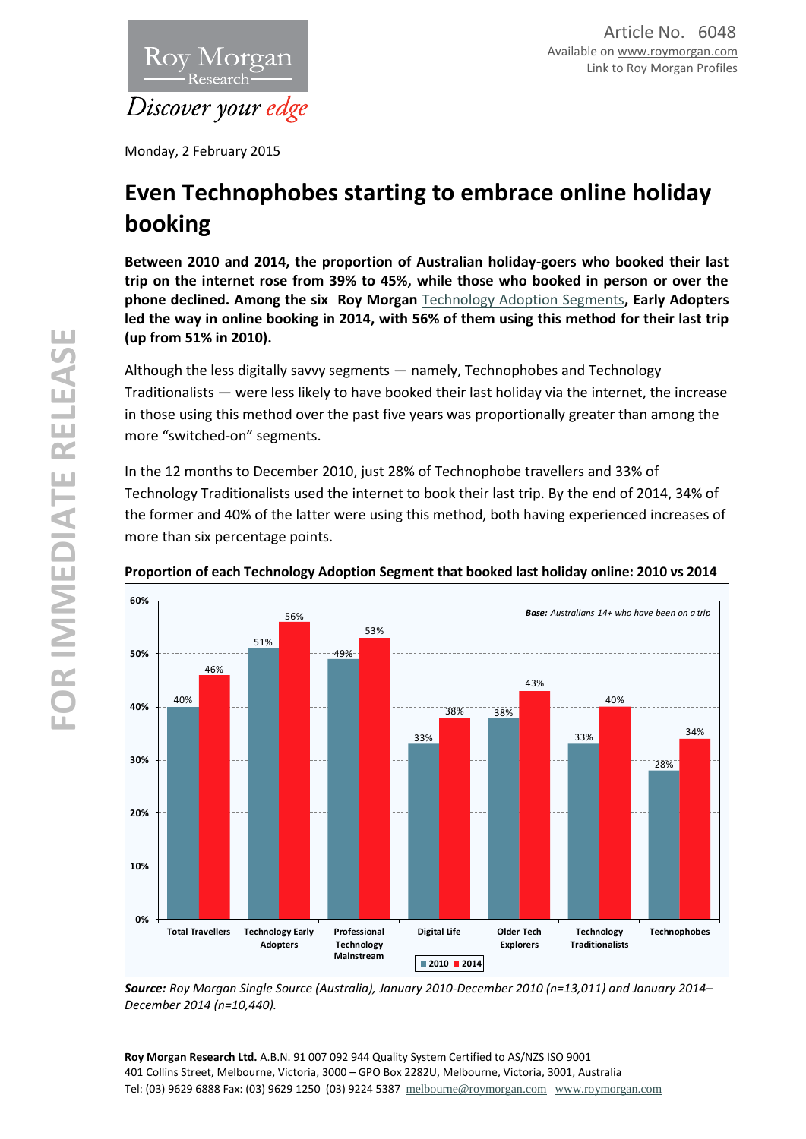

Monday, 2 February 2015

# **Even Technophobes starting to embrace online holiday booking**

**Between 2010 and 2014, the proportion of Australian holiday-goers who booked their last trip on the internet rose from 39% to 45%, while those who booked in person or over the phone declined. Among the six Roy Morgan** [Technology Adoption Segments](http://www.roymorgan.com.au/products/segmentation-analytics/technology-adoption-segments)**, Early Adopters led the way in online booking in 2014, with 56% of them using this method for their last trip (up from 51% in 2010).**

Although the less digitally savvy segments — namely, Technophobes and Technology Traditionalists — were less likely to have booked their last holiday via the internet, the increase in those using this method over the past five years was proportionally greater than among the more "switched-on" segments.

In the 12 months to December 2010, just 28% of Technophobe travellers and 33% of Technology Traditionalists used the internet to book their last trip. By the end of 2014, 34% of the former and 40% of the latter were using this method, both having experienced increases of more than six percentage points.



## **Proportion of each Technology Adoption Segment that booked last holiday online: 2010 vs 2014**

*Source: Roy Morgan Single Source (Australia), January 2010-December 2010 (n=13,011) and January 2014– December 2014 (n=10,440).*

**Roy Morgan Research Ltd.** A.B.N. 91 007 092 944 Quality System Certified to AS/NZS ISO 9001 401 Collins Street, Melbourne, Victoria, 3000 – GPO Box 2282U, Melbourne, Victoria, 3001, Australia Tel: (03) 9629 6888 Fax: (03) 9629 1250 (03) 9224 5387 [melbourne@roymorgan.com](mailto:melbourne@roymorgan.com) [www.roymorgan.com](http://www.roymorgan.com/)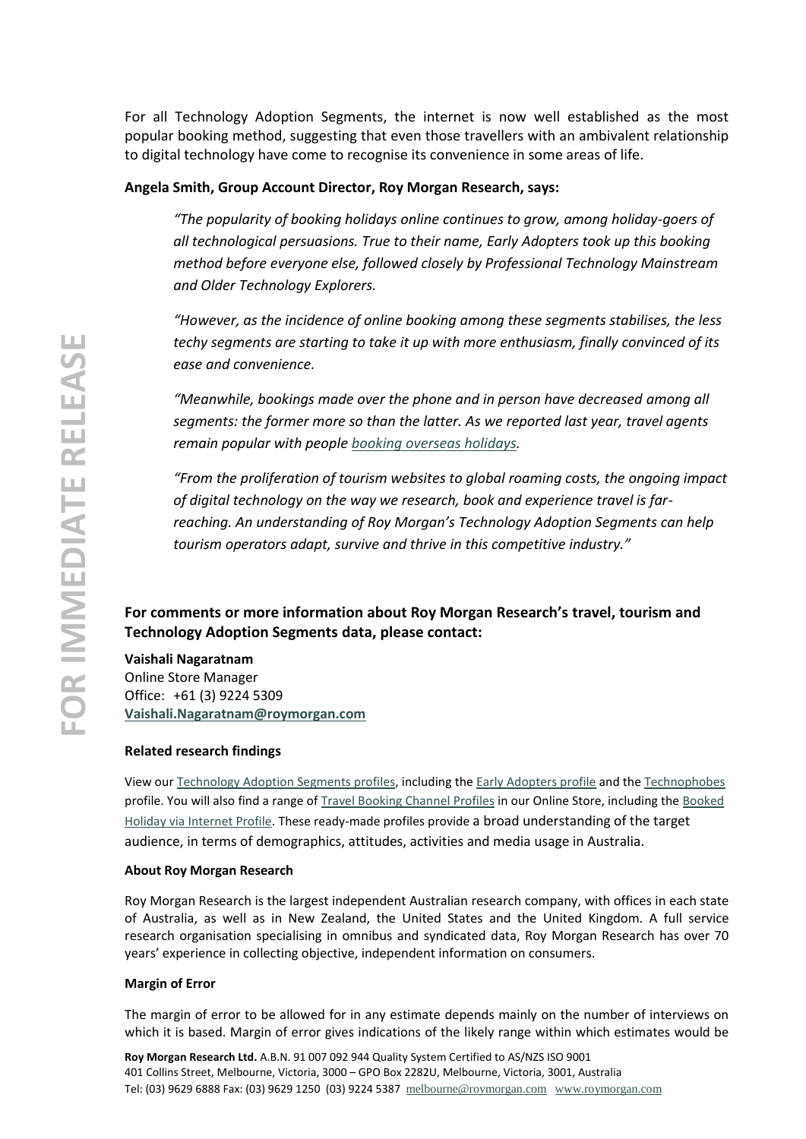For all Technology Adoption Segments, the internet is now well established as the most popular booking method, suggesting that even those travellers with an ambivalent relationship to digital technology have come to recognise its convenience in some areas of life.

### **Angela Smith, Group Account Director, Roy Morgan Research, says:**

*"The popularity of booking holidays online continues to grow, among holiday-goers of all technological persuasions. True to their name, Early Adopters took up this booking method before everyone else, followed closely by Professional Technology Mainstream and Older Technology Explorers.*

*"However, as the incidence of online booking among these segments stabilises, the less techy segments are starting to take it up with more enthusiasm, finally convinced of its ease and convenience.*

*"Meanwhile, bookings made over the phone and in person have decreased among all segments: the former more so than the latter. As we reported last year, travel agents remain popular with peopl[e booking overseas holidays.](http://www.roymorgan.com.au/findings/5760-overseas-travel-booking-methods-australia-june-2014-201408270515)*

*"From the proliferation of tourism websites to global roaming costs, the ongoing impact of digital technology on the way we research, book and experience travel is farreaching. An understanding of Roy Morgan's Technology Adoption Segments can help tourism operators adapt, survive and thrive in this competitive industry."*

## **For comments or more information about Roy Morgan Research's travel, tourism and Technology Adoption Segments data, please contact:**

#### **Vaishali Nagaratnam**

Online Store Manager Office: +61 (3) 9224 5309 **[Vaishali.Nagaratnam@roymorgan.com](mailto:Vaishali.Nagaratnam@roymorgan.com)**

#### **Related research findings**

View our [Technology Adoption Segments profiles,](http://www.roymorganonlinestore.com/Browse/Australia/Segmentations/Technology-Adoption-Segments.aspx) including the [Early Adopters profile](http://www.roymorganonlinestore.com/Browse/Australia/Segmentations/Technology-Adoption-Segments/Technology-Early-Adopters-Segment-Profile.aspx) and the [Technophobes](http://www.roymorganonlinestore.com/Browse/Australia/Segmentations/Technology-Adoption-Segments/Technophobes-Segment-Profile.aspx) profile. You will also find a range of [Travel Booking Channel Profiles](http://www.roymorganonlinestore.com/Browse/Australia/Travel-and-Tourism/Travel-Booking-Channels.aspx) in our Online Store, including the [Booked](http://www.roymorganonlinestore.com/Browse/Australia/Travel-and-Tourism/Travel-Booking-Channels/Booked-via-internet-Profile.aspx)  [Holiday via Internet Profile.](http://www.roymorganonlinestore.com/Browse/Australia/Travel-and-Tourism/Travel-Booking-Channels/Booked-via-internet-Profile.aspx) These ready-made profiles provide a broad understanding of the target audience, in terms of demographics, attitudes, activities and media usage in Australia.

#### **About Roy Morgan Research**

Roy Morgan Research is the largest independent Australian research company, with offices in each state of Australia, as well as in New Zealand, the United States and the United Kingdom. A full service research organisation specialising in omnibus and syndicated data, Roy Morgan Research has over 70 years' experience in collecting objective, independent information on consumers.

#### **Margin of Error**

The margin of error to be allowed for in any estimate depends mainly on the number of interviews on which it is based. Margin of error gives indications of the likely range within which estimates would be

**Roy Morgan Research Ltd.** A.B.N. 91 007 092 944 Quality System Certified to AS/NZS ISO 9001 401 Collins Street, Melbourne, Victoria, 3000 – GPO Box 2282U, Melbourne, Victoria, 3001, Australia Tel: (03) 9629 6888 Fax: (03) 9629 1250 (03) 9224 5387 [melbourne@roymorgan.com](mailto:melbourne@roymorgan.com) [www.roymorgan.com](http://www.roymorgan.com/)